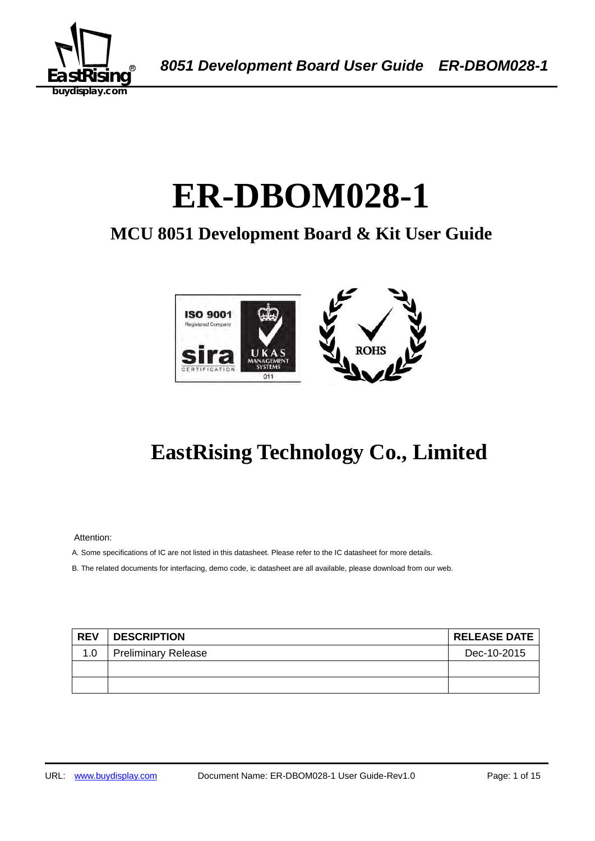

A *8051 Development Board User Guide ER-DBOM028-1*

# ER-DBOM028-1

## **MCU 8051 Development Board & Kit User Guide**



## **EastRising Technology Co., Limited**

Attention:

A. Some specifications of IC are not listed in this datasheet. Please refer to the IC datasheet for more details.

B. The related documents for interfacing, demo code, ic datasheet are all available, please download from our web.

| <b>REV</b> | <b>DESCRIPTION</b>         | <b>RELEASE DATE</b> |
|------------|----------------------------|---------------------|
| 1.0        | <b>Preliminary Release</b> | Dec-10-2015         |
|            |                            |                     |
|            |                            |                     |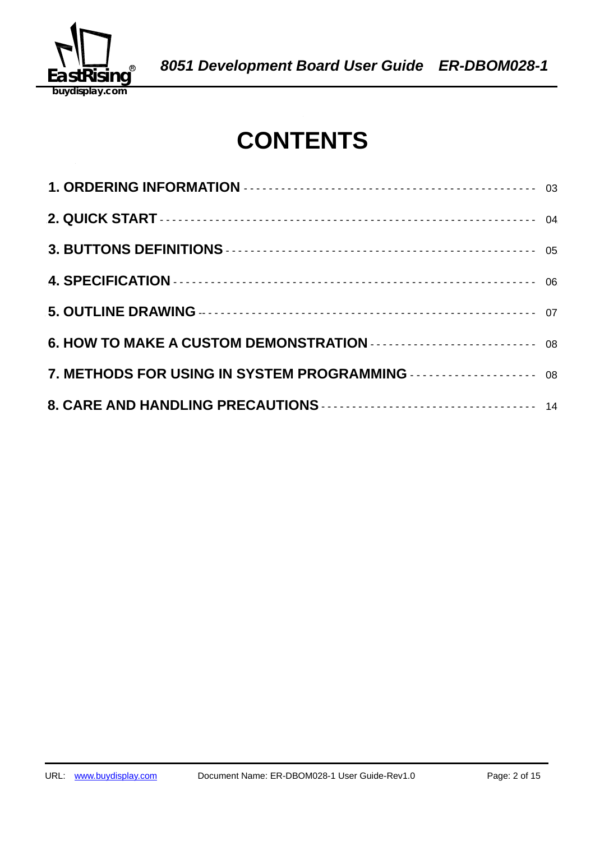

## **CONTENTS**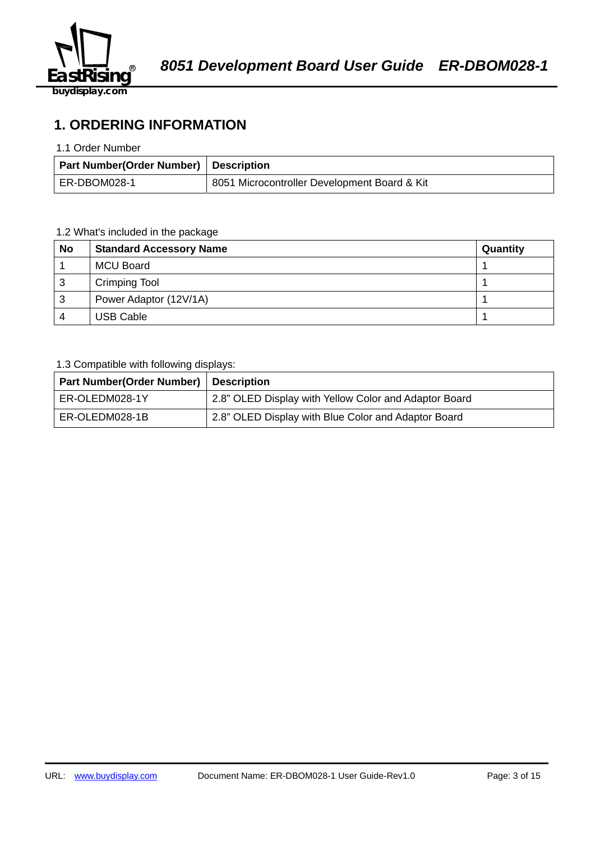

## **1. ORDERING INFORMATION**

#### 1.1 Order Number

| <b>Part Number (Order Number) Description</b> |                                              |  |  |  |  |  |
|-----------------------------------------------|----------------------------------------------|--|--|--|--|--|
| ER-DBOM028-1                                  | 8051 Microcontroller Development Board & Kit |  |  |  |  |  |

## 1.2 What's included in the package

| <b>No</b> | <b>Standard Accessory Name</b> | Quantity |
|-----------|--------------------------------|----------|
|           | MCU Board                      |          |
| 3         | <b>Crimping Tool</b>           |          |
| 3         | Power Adaptor (12V/1A)         |          |
| 4         | <b>USB Cable</b>               |          |

## 1.3 Compatible with following displays:

| Part Number(Order Number)   Description |                                                       |
|-----------------------------------------|-------------------------------------------------------|
| ER-OLEDM028-1Y                          | 2.8" OLED Display with Yellow Color and Adaptor Board |
| ER-OLEDM028-1B                          | 2.8" OLED Display with Blue Color and Adaptor Board   |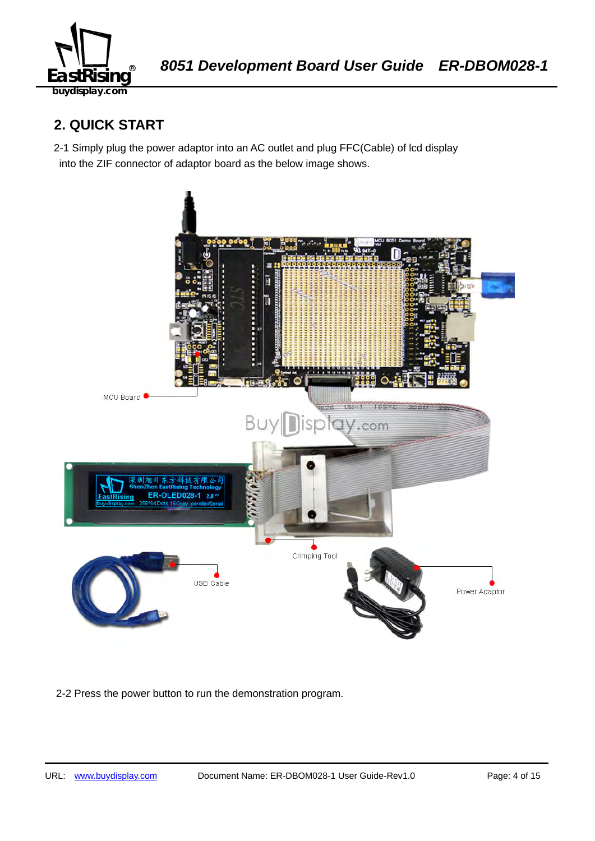

## **2. QUICK START**

2-1 Simply plug the power adaptor into an AC outlet and plug FFC(Cable) of lcd display into the ZIF connector of adaptor board as the below image shows.



2-2 Press the power button to run the demonstration program.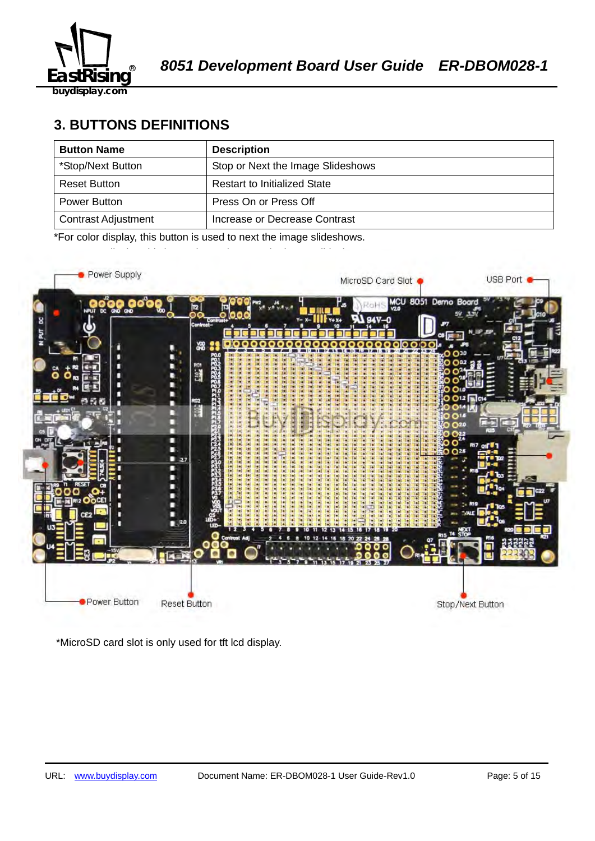

## **3. BUTTONS DEFINITIONS**

| <b>Button Name</b>         | <b>Description</b>                  |
|----------------------------|-------------------------------------|
| *Stop/Next Button          | Stop or Next the Image Slideshows   |
| Reset Button               | <b>Restart to Initialized State</b> |
| Power Button               | Press On or Press Off               |
| <b>Contrast Adjustment</b> | Increase or Decrease Contrast       |

\*For color display, this button is used to next the image slideshows.



\*MicroSD card slot is only used for tft lcd display.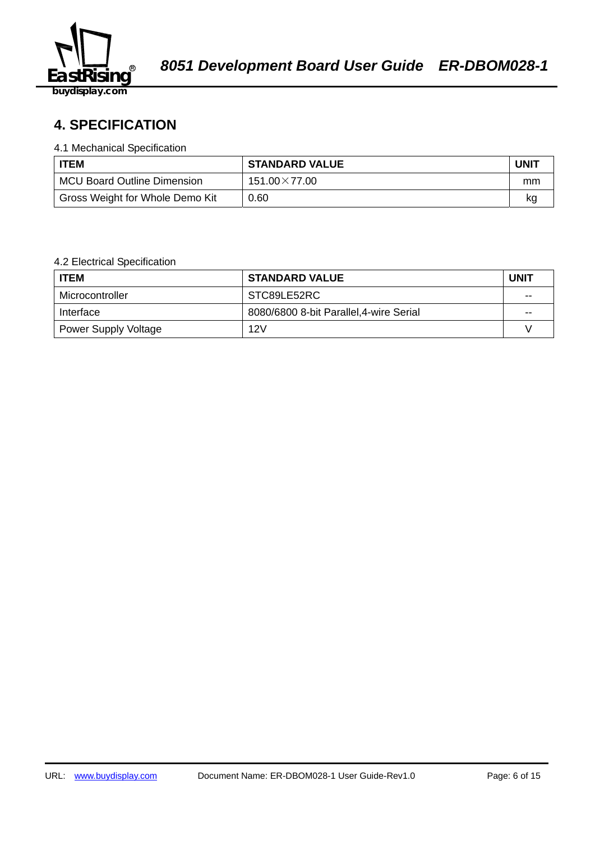

## 58B2140359**4. SPECIFICATION**

#### 4.1 Mechanical Specification

| <b>ITEM</b>                        | <b>STANDARD VALUE</b> | UNIT |
|------------------------------------|-----------------------|------|
| <b>MCU Board Outline Dimension</b> | $151.00\times77.00$   | mm   |
| Gross Weight for Whole Demo Kit    | 0.60                  | κq   |

#### 4.2 Electrical Specification

| <b>ITEM</b>                 | <b>STANDARD VALUE</b>                   | <b>UNIT</b> |
|-----------------------------|-----------------------------------------|-------------|
| Microcontroller             | STC89LE52RC                             | $-$         |
| Interface                   | 8080/6800 8-bit Parallel, 4-wire Serial | $- -$       |
| <b>Power Supply Voltage</b> | 12V                                     |             |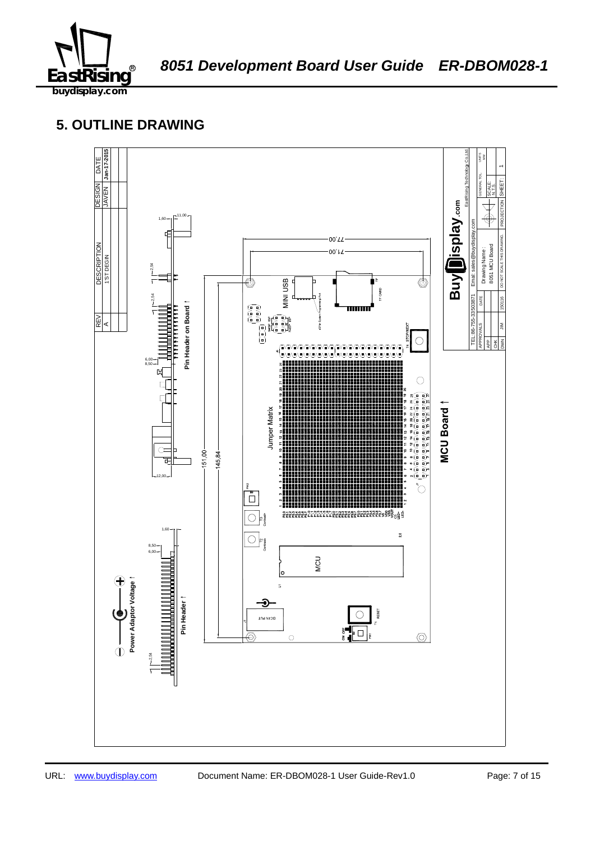

## **5. OUTLINE DRAWING**

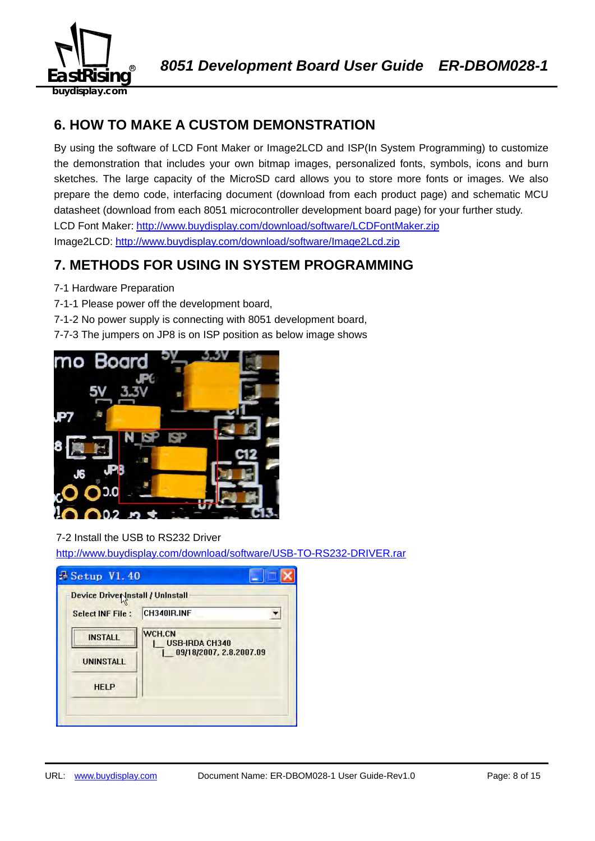

## **6. HOW TO MAKE A CUSTOM DEMONSTRATION**

By using the software of LCD Font Maker or Image2LCD and ISP(In System Programming) to customize the demonstration that includes your own bitmap images, personalized fonts, symbols, icons and burn sketches. The large capacity of the MicroSD card allows you to store more fonts or images. We also prepare the demo code, interfacing document (download from each product page) and schematic MCU datasheet (download from each 8051 microcontroller development board page) for your further study. LCD Font Maker: http://www.buydisplay.com/download/software/LCDFontMaker.zip Image2LCD: http://www.buydisplay.com/download/software/Image2Lcd.zip

## **7. METHODS FOR USING IN SYSTEM PROGRAMMING**

- 7-1 Hardware Preparation
- 7-1-1 Please power off the development board,
- 7-1-2 No power supply is connecting with 8051 development board,
- 7-7-3 The jumpers on JP8 is on ISP position as below image shows



## 7-2 Install the USB to RS232 Driver

http://www.buydisplay.com/download/software/USB-TO-RS232-DRIVER.rar

| Device Driver Install / Uninstall |                                 |
|-----------------------------------|---------------------------------|
| <b>Select INF File:</b>           | CH340IR.INF                     |
| <b>INSTALL</b>                    | WCH.CN<br><b>USB-IRDA CH340</b> |
| <b>UNINSTALL</b>                  | 09/18/2007, 2.8.2007.09         |
| <b>HELP</b>                       |                                 |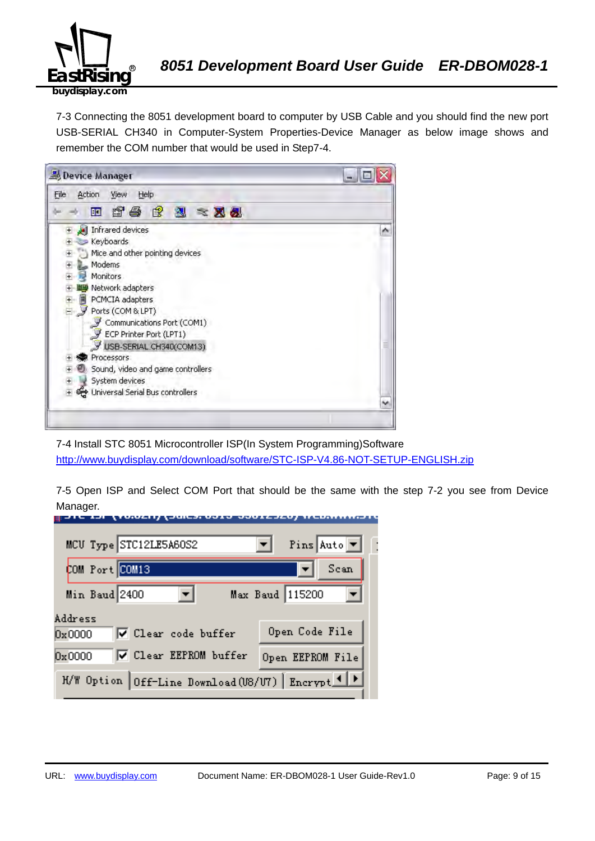

7-3 Connecting the 8051 development board to computer by USB Cable and you should find the new port USB-SERIAL CH340 in Computer-System Properties-Device Manager as below image shows and remember the COM number that would be used in Step7-4.



7-4 Install STC 8051 Microcontroller ISP(In System Programming)Software http://www.buydisplay.com/download/software/STC-ISP-V4.86-NOT-SETUP-ENGLISH.zip

7-5 Open ISP and Select COM Port that should be the same with the step 7-2 you see from Device Manager.

| MCU Type STC12LE5A60S2                            | Pins Auto $\boxed{\mathbf{v}}$ |
|---------------------------------------------------|--------------------------------|
| COM Port COM13                                    | Scan                           |
| Min Baud 2400                                     | Max Baud 115200                |
| Address<br>V Clear code buffer<br>0x0000          | Open Code File                 |
| <b>▽</b> Clear EEPROM buffer<br>0x0000            | Open EEPROM File               |
| H/W Option Off-Line Download (U8/U7) Encrypt 1  > |                                |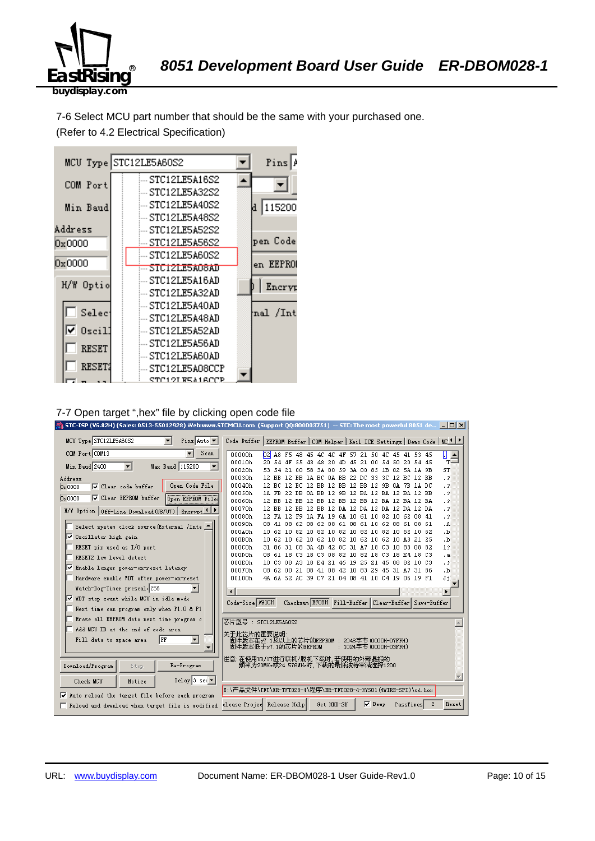

7-6 Select MCU part number that should be the same with your purchased one. (Refer to 4.2 Electrical Specification)



#### 7-7 Open target ",hex" file by clicking open code file

| STC-ISP (V6.82H) (Sales: 0513-55012928) Web:www.STCMCU.com (Support QQ:800003751) -- STC: The most powerful 8051 de   [C] X |                                                                                               |                                                                                                    |  |            |               |                        |                                                     |   |                        |
|-----------------------------------------------------------------------------------------------------------------------------|-----------------------------------------------------------------------------------------------|----------------------------------------------------------------------------------------------------|--|------------|---------------|------------------------|-----------------------------------------------------|---|------------------------|
| MCU Type STC12LE5A60S2<br>$\mathbf{r}$<br>Pins Auto v                                                                       | Code Buffer   EEPROM Buffer   COM Helper   Keil ICE Settings   Demo Code   MC <mark>IP</mark> |                                                                                                    |  |            |               |                        |                                                     |   |                        |
| COM Port COM13<br>Scan                                                                                                      | 00000h<br>$b^2$                                                                               |                                                                                                    |  |            |               |                        | A8 F5 48 45 4C 4C 4F 57 21 50 4C 45 41 53 45        |   | П<br>$\frac{1}{T}$     |
| Min Baud 2400<br>$\overline{\phantom{a}}$<br>$\blacktriangledown$<br>Max Baud 115200                                        | 00010h                                                                                        | 20 54 4F 55 43 48                                                                                  |  | -20<br>-4D |               |                        | 45 21 00 54 50 20 54 45                             |   |                        |
|                                                                                                                             | 00020h<br>53.                                                                                 | 54                                                                                                 |  |            |               |                        | 21 00 58 3A 00 59 3A 00 85 1B 02 5A 1A 9B           |   | ST                     |
| Address                                                                                                                     | 00030h                                                                                        | 12 BB 12 BB 1A BC 0A BB 22 DC 33 3C 12 BC 12 BB                                                    |  |            |               |                        |                                                     |   | $\cdot$ 2              |
| Open Code File<br>□ Clear code buffer<br>0x0000                                                                             | 00040h<br>00050h                                                                              | 12 BC 12 BC 12 BB 12 BB 12 BB 12 9B 0A 7B 1A DC<br>1A FB 22 DB 0A BB 12 9B 12 BA 12 BA 12 BA 12 BB |  |            |               |                        |                                                     |   | $\cdot$ ?<br>$\cdot$ ? |
| ☑ Clear EEPROM buffer<br><b>Open EEPROM File</b><br>0x0000                                                                  | 00060h                                                                                        | 12 BB 12 BB 12 BB 12 BB 12 BB 12 BA 12 BA 12 BA                                                    |  |            |               |                        |                                                     |   | $\cdot$ ?              |
|                                                                                                                             | 00070h                                                                                        | 12 BB 12 BB 12 BB 12 DA 12 DA 12 DA 12 DA 12 DA                                                    |  |            |               |                        |                                                     |   | $\cdot$ 2              |
| H/W Option   Off-Line Download (U8/U7)   Encrypt 1   P                                                                      | 00080h                                                                                        | 12 FA 12 F9 1A FA 19 6A 10 61 10 82 10 62 08 41                                                    |  |            |               |                        |                                                     |   | $\cdot$ ?              |
| Select system clock source (External /Inte<br>⊩                                                                             | 00090h                                                                                        | 08 41 08 62 08 62 08 61 08 61 10 62 08 61 08 61                                                    |  |            |               |                        |                                                     |   | . A                    |
|                                                                                                                             | 000A0h                                                                                        | 10 62 10 82 10 82 10 82 10 82 10 82 10 62 10 62                                                    |  |            |               |                        |                                                     |   | ۰b.                    |
| Ⅳ Oscillator high gain                                                                                                      | 000B0h                                                                                        | 10 62 10 62 10 62 10 82 10 62 10 62 10 A3 21 25                                                    |  |            |               |                        |                                                     |   | .b                     |
| RESET pin used as I/O port                                                                                                  | 000C0h                                                                                        | 31 86 31 C8 3A 4B 42 8C 31 A7 18 C3 10 83 08 82                                                    |  |            |               |                        |                                                     |   | 12                     |
| RESET2 low level detect                                                                                                     | 000D0h                                                                                        | 08 61 18 C3 18 C3 08 82 10 82 18 C3 18 E4 18 C3                                                    |  |            |               |                        |                                                     |   | $\cdot$ a              |
| <b>V</b> Enable longer power-on-reset latency                                                                               | 000E0h<br>000F0h                                                                              | 10 C3 08 A3 18 E4 21 46 19 25 21 45 08 82 10 C3<br>08 62 00 21 08 41 08 42 10 83 29 45 31 A7 31 86 |  |            |               |                        |                                                     |   | $\cdot$ ?<br>۰b.       |
| Hardware enable WDT after power-on-reset                                                                                    | 00100h                                                                                        | 4A 6A 52 AC 39 C7 21 04 08 41 10 C4 19 06 19 F1                                                    |  |            |               |                        |                                                     |   | Ji.                    |
|                                                                                                                             |                                                                                               |                                                                                                    |  |            |               |                        |                                                     |   |                        |
| Watch-Dog-Timer prescal 256                                                                                                 | $\blacksquare$                                                                                |                                                                                                    |  |            |               |                        |                                                     |   | $\blacktriangleright$  |
| Ⅳ WDT stop count while MCU in idle mode                                                                                     | Code-Size A91CH                                                                               |                                                                                                    |  |            |               |                        | Checksum EFOBH Fill-Buffer Clear-Buffer Save-Buffer |   |                        |
| Next time can program only when P1.0 & P1                                                                                   |                                                                                               |                                                                                                    |  |            |               |                        |                                                     |   |                        |
| Erase all EEPROM data next time program c                                                                                   | 芯片型号: STC12LE5A60S2                                                                           |                                                                                                    |  |            |               |                        |                                                     |   |                        |
| Add MCU ID at the end of code area                                                                                          | 关于此芯片的重要说明                                                                                    |                                                                                                    |  |            |               |                        |                                                     |   |                        |
| $\blacktriangledown$<br>Fill data to space area<br>  FF                                                                     | 固件版本在v7.1及以上的芯片的EEPROM : 2048字节(0000H-07FFH)                                                  |                                                                                                    |  |            |               |                        |                                                     |   |                        |
|                                                                                                                             | 固件版本低于v7.1的芯片的EEPROM                                                                          |                                                                                                    |  |            |               | : 1024字节 (0000H-03FFH) |                                                     |   |                        |
|                                                                                                                             | 注意:在使用U8/UT进行联机/脱机下载时,若使用的外部晶振的                                                               |                                                                                                    |  |            |               |                        |                                                     |   |                        |
| Re-Program<br>Download/Program<br>Stop                                                                                      | 频率为20MHz或24.576MHz时,下载的最低波特率请选择1200                                                           |                                                                                                    |  |            |               |                        |                                                     |   |                        |
| Delay 3 sec $\blacktriangledown$<br>Check MCU<br>Notice                                                                     |                                                                                               |                                                                                                    |  |            |               |                        |                                                     |   |                        |
|                                                                                                                             | E:\产品文件\TFT\ER-TFT028-4\程序\ER-TFT028-4-HYS01 (4WIRE-SPI)\sd.hex                               |                                                                                                    |  |            |               |                        |                                                     |   |                        |
| Auto reload the target file before each program                                                                             |                                                                                               |                                                                                                    |  |            |               |                        |                                                     |   |                        |
| Reload and download when target file is modified                                                                            | elease Projed Release Help                                                                    |                                                                                                    |  | Get HDD-SN | $\nabla$ Beep |                        | PassTimes                                           | 2 | Reset                  |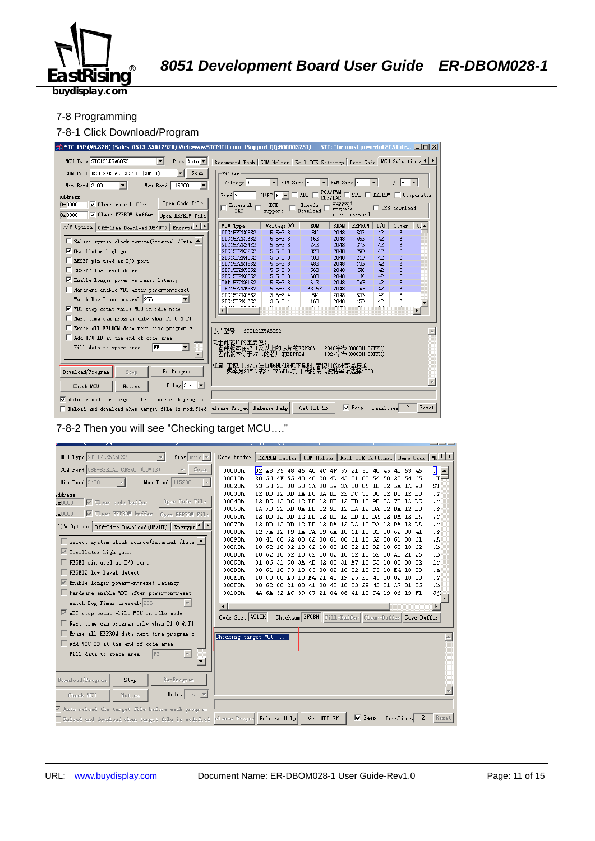

#### 7-8 Programming

#### 7-8-1 Click Download/Program



7-8-2 Then you will see "Checking target MCU…."

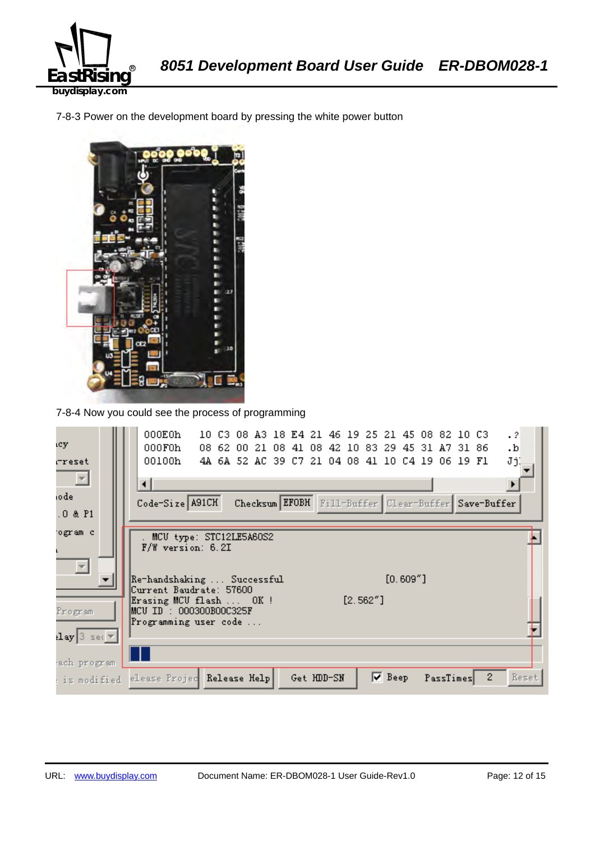

7-8-3 Power on the development board by pressing the white power button



7-8-4 Now you could see the process of programming

| icy.                                     | 000E0h<br>$\cdot$ 2<br>10 C3 08 A3 18 E4 21 46 19 25 21 45 08 82 10 C3<br>000F0h<br>08 62 00 21 08 41 08 42 10 83 29 45 31 A7 31 86<br>.b |
|------------------------------------------|-------------------------------------------------------------------------------------------------------------------------------------------|
| rreset                                   | JjĮ<br>00100h<br>4A 6A 52 AC 39 C7 21 04 08 41 10 C4 19 06 19 F1                                                                          |
| 톤                                        | ⊣                                                                                                                                         |
| iodel                                    | Code-Size A91CH<br>Checksum EFOBH Fill-Buffer Clear-Buffer Save-Buffer                                                                    |
| $.0$ & $P1$                              |                                                                                                                                           |
| ogram c                                  | . MCU type: STC12LE5A6OS2<br>$F/W$ version: 6.2I                                                                                          |
| $\overline{\phantom{m}}$                 | $[0.609"$ ]<br> Re-handshaking  Successful<br>Current Baudrate: 57600                                                                     |
| Program                                  | $[2.562"$ ]<br>Erasing MCU flash  OK!<br> MCU ID : 000300B00C325F<br>Programming user code                                                |
| $\texttt{lay}[\texttt{3} \texttt{ sec}]$ |                                                                                                                                           |
| ach program                              |                                                                                                                                           |
| : is modified                            | $\mathbf{2}$<br>$\nabla$ Beep<br>Reset<br>elease Projec Release Help<br>PassTimes<br>Get HDD-SN                                           |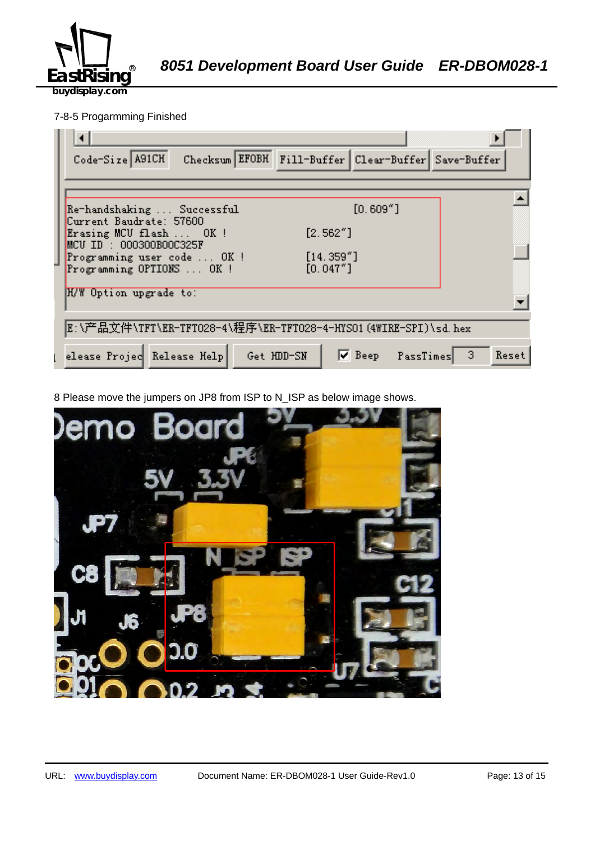

## 7-8-5 Progarmming Finished

| Checksum EFOBH Fill-Buffer Clear-Buffer Save-Buffer<br>Code-Size A91CH              |
|-------------------------------------------------------------------------------------|
|                                                                                     |
| $[0.609"$ ]<br>Re-handshaking  Successful<br>Current Baudrate: 57600                |
| [2.562"]<br>Erasing MCU flash  OK !<br>$MCU$ ID : 000300B00C325F                    |
| [14.359'']<br>Programming user code  OK!<br>[0.047"]<br>Programming OPTIONS  OK !   |
| H/W Option upgrade to:                                                              |
| E:\产品文件\TFT\ER-TFTO28-4\程序\ER-TFTO28-4-HYSO1(4WIRE-SPI)\sd.hex                      |
| <b>V</b> Beep PassTimes<br>elease Projec Release Help<br>Get HDD-SN<br>-3.<br>Reset |

8 Please move the jumpers on JP8 from ISP to N\_ISP as below image shows.

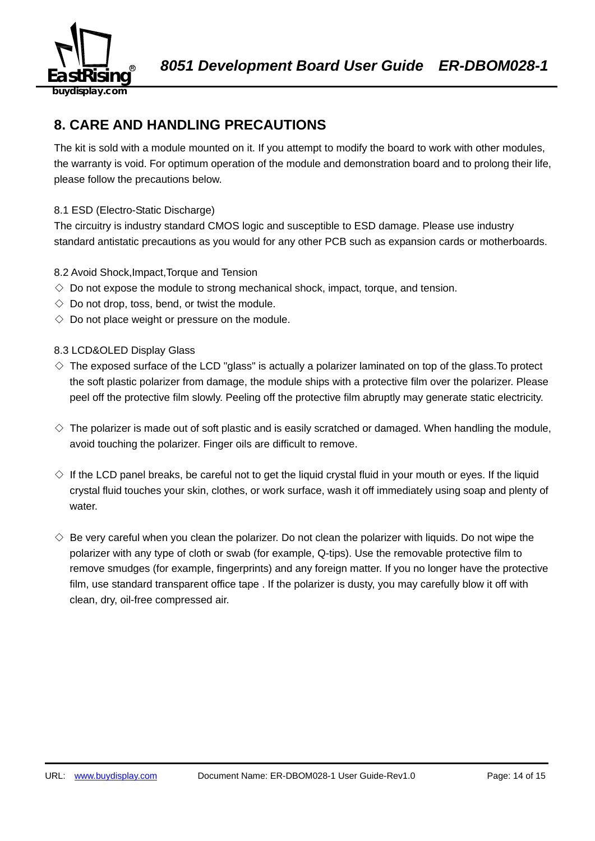

## **8. CARE AND HANDLING PRECAUTIONS**

The kit is sold with a module mounted on it. If you attempt to modify the board to work with other modules, the warranty is void. For optimum operation of the module and demonstration board and to prolong their life, please follow the precautions below.

## 8.1 ESD (Electro-Static Discharge)

The circuitry is industry standard CMOS logic and susceptible to ESD damage. Please use industry standard antistatic precautions as you would for any other PCB such as expansion cards or motherboards.

## 8.2 Avoid Shock,Impact,Torque and Tension

- $\Diamond$  Do not expose the module to strong mechanical shock, impact, torque, and tension.
- $\Diamond$  Do not drop, toss, bend, or twist the module.
- $\Diamond$  Do not place weight or pressure on the module.

## 8.3 LCD&OLED Display Glass

- $\diamond$  The exposed surface of the LCD "glass" is actually a polarizer laminated on top of the glass. To protect the soft plastic polarizer from damage, the module ships with a protective film over the polarizer. Please peel off the protective film slowly. Peeling off the protective film abruptly may generate static electricity.
- $\diamond$  The polarizer is made out of soft plastic and is easily scratched or damaged. When handling the module, avoid touching the polarizer. Finger oils are difficult to remove.
- $\Diamond$  If the LCD panel breaks, be careful not to get the liquid crystal fluid in your mouth or eyes. If the liquid crystal fluid touches your skin, clothes, or work surface, wash it off immediately using soap and plenty of water.
- $\diamondsuit$  Be very careful when you clean the polarizer. Do not clean the polarizer with liquids. Do not wipe the polarizer with any type of cloth or swab (for example, Q-tips). Use the removable protective film to remove smudges (for example, fingerprints) and any foreign matter. If you no longer have the protective film, use standard transparent office tape . If the polarizer is dusty, you may carefully blow it off with clean, dry, oil-free compressed air.